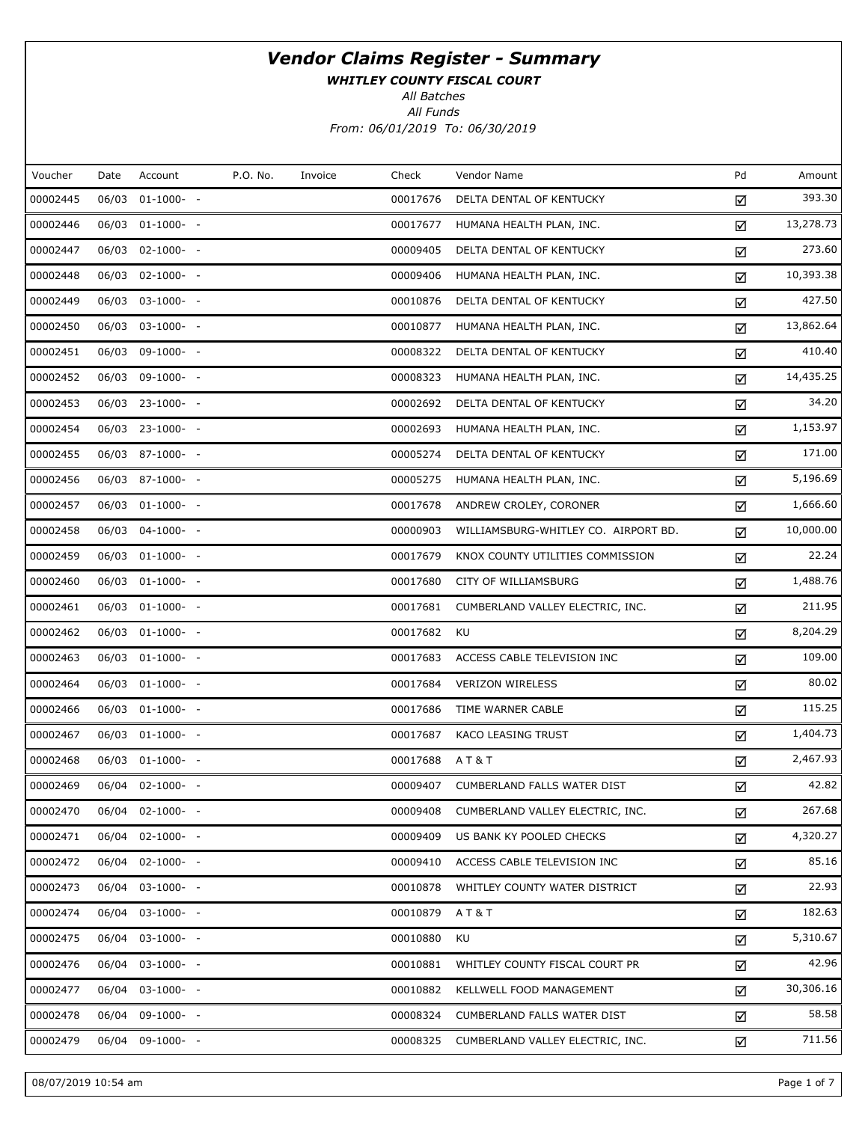WHITLEY COUNTY FISCAL COURT

All Batches

All Funds

From: 06/01/2019 To: 06/30/2019

| Voucher  | Date  | Account          | P.O. No. | Invoice | Check    | Vendor Name                          | Pd | Amount    |
|----------|-------|------------------|----------|---------|----------|--------------------------------------|----|-----------|
| 00002445 | 06/03 | $01-1000-$ -     |          |         | 00017676 | DELTA DENTAL OF KENTUCKY             | ☑  | 393.30    |
| 00002446 |       | 06/03 01-1000- - |          |         | 00017677 | HUMANA HEALTH PLAN, INC.             | ☑  | 13,278.73 |
| 00002447 | 06/03 | $02-1000-$       |          |         | 00009405 | DELTA DENTAL OF KENTUCKY             | ☑  | 273.60    |
| 00002448 |       | 06/03 02-1000- - |          |         | 00009406 | HUMANA HEALTH PLAN, INC.             | ☑  | 10,393.38 |
| 00002449 |       | 06/03 03-1000- - |          |         | 00010876 | DELTA DENTAL OF KENTUCKY             | ☑  | 427.50    |
| 00002450 |       | 06/03 03-1000- - |          |         | 00010877 | HUMANA HEALTH PLAN, INC.             | ☑  | 13,862.64 |
| 00002451 |       | 06/03 09-1000- - |          |         | 00008322 | DELTA DENTAL OF KENTUCKY             | ☑  | 410.40    |
| 00002452 |       | 06/03 09-1000- - |          |         | 00008323 | HUMANA HEALTH PLAN, INC.             | ☑  | 14,435.25 |
| 00002453 |       | 06/03 23-1000- - |          |         | 00002692 | DELTA DENTAL OF KENTUCKY             | ☑  | 34.20     |
| 00002454 |       | 06/03 23-1000- - |          |         | 00002693 | HUMANA HEALTH PLAN, INC.             | ☑  | 1,153.97  |
| 00002455 |       | 06/03 87-1000- - |          |         | 00005274 | DELTA DENTAL OF KENTUCKY             | ☑  | 171.00    |
| 00002456 |       | 06/03 87-1000- - |          |         | 00005275 | HUMANA HEALTH PLAN, INC.             | ☑  | 5,196.69  |
| 00002457 |       | 06/03 01-1000- - |          |         | 00017678 | ANDREW CROLEY, CORONER               | ☑  | 1,666.60  |
| 00002458 |       | 06/03 04-1000- - |          |         | 00000903 | WILLIAMSBURG-WHITLEY CO. AIRPORT BD. | ☑  | 10,000.00 |
| 00002459 |       | 06/03 01-1000- - |          |         | 00017679 | KNOX COUNTY UTILITIES COMMISSION     | ☑  | 22.24     |
| 00002460 |       | 06/03 01-1000- - |          |         | 00017680 | CITY OF WILLIAMSBURG                 | ☑  | 1,488.76  |
| 00002461 |       | 06/03 01-1000- - |          |         | 00017681 | CUMBERLAND VALLEY ELECTRIC, INC.     | ☑  | 211.95    |
| 00002462 |       | 06/03 01-1000- - |          |         | 00017682 | KU                                   | ☑  | 8,204.29  |
| 00002463 |       | 06/03 01-1000- - |          |         | 00017683 | ACCESS CABLE TELEVISION INC          | ☑  | 109.00    |
| 00002464 |       | 06/03 01-1000- - |          |         | 00017684 | <b>VERIZON WIRELESS</b>              | ☑  | 80.02     |
| 00002466 |       | 06/03 01-1000- - |          |         | 00017686 | TIME WARNER CABLE                    | ☑  | 115.25    |
| 00002467 |       | 06/03 01-1000- - |          |         | 00017687 | KACO LEASING TRUST                   | ☑  | 1,404.73  |
| 00002468 |       | 06/03 01-1000- - |          |         | 00017688 | <b>AT&amp;T</b>                      | ☑  | 2,467.93  |
| 00002469 |       | 06/04 02-1000- - |          |         | 00009407 | CUMBERLAND FALLS WATER DIST          | ☑  | 42.82     |
| 00002470 |       | 06/04 02-1000- - |          |         | 00009408 | CUMBERLAND VALLEY ELECTRIC, INC.     | ☑  | 267.68    |
| 00002471 | 06/04 | $02 - 1000 - -$  |          |         | 00009409 | US BANK KY POOLED CHECKS             | ☑  | 4,320.27  |
| 00002472 |       | 06/04 02-1000- - |          |         | 00009410 | ACCESS CABLE TELEVISION INC          | ☑  | 85.16     |
| 00002473 | 06/04 | $03-1000- -$     |          |         | 00010878 | WHITLEY COUNTY WATER DISTRICT        | ☑  | 22.93     |
| 00002474 |       | 06/04 03-1000- - |          |         | 00010879 | AT&T                                 | ☑  | 182.63    |
| 00002475 | 06/04 | $03-1000- -$     |          |         | 00010880 | KU                                   | ☑  | 5,310.67  |
| 00002476 |       | 06/04 03-1000- - |          |         | 00010881 | WHITLEY COUNTY FISCAL COURT PR       | ☑  | 42.96     |
| 00002477 | 06/04 | $03-1000- -$     |          |         | 00010882 | KELLWELL FOOD MANAGEMENT             | ☑  | 30,306.16 |
| 00002478 | 06/04 | $09-1000- -$     |          |         | 00008324 | CUMBERLAND FALLS WATER DIST          | ☑  | 58.58     |
| 00002479 |       | 06/04 09-1000- - |          |         | 00008325 | CUMBERLAND VALLEY ELECTRIC, INC.     | ☑  | 711.56    |

08/07/2019 10:54 am Page 1 of 7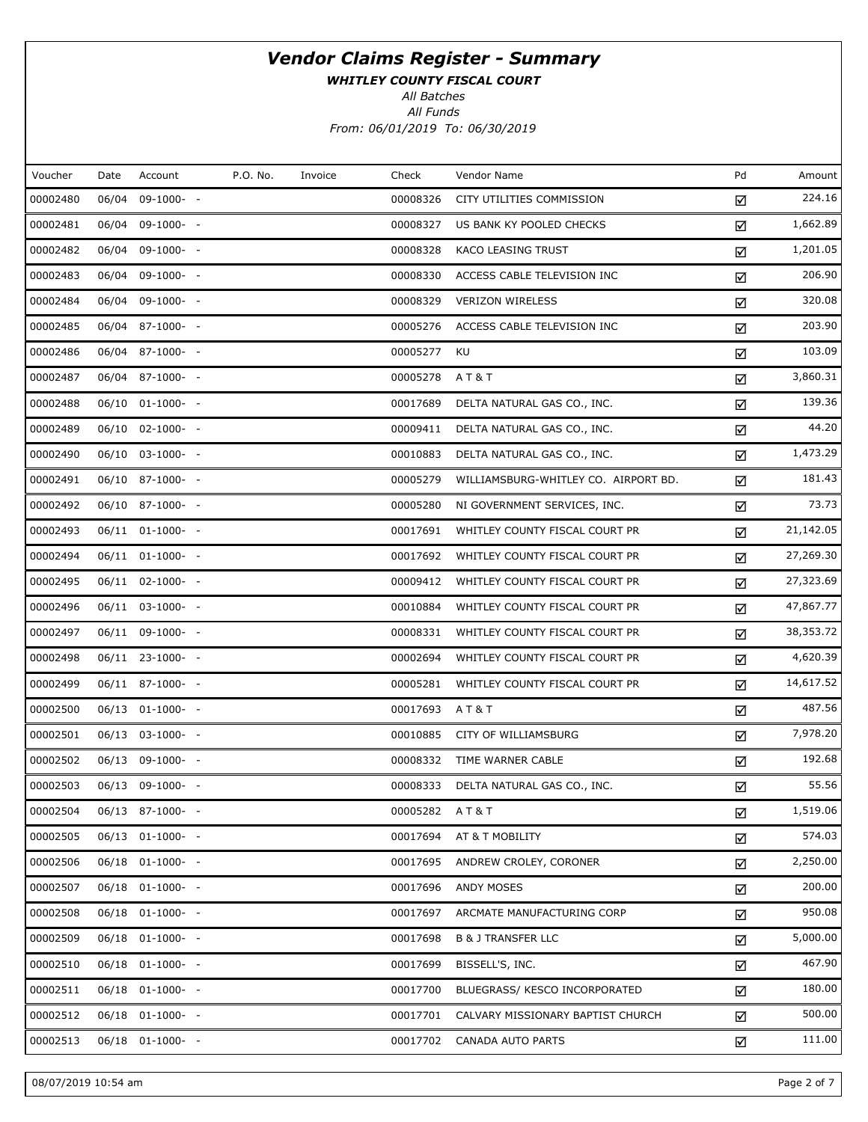WHITLEY COUNTY FISCAL COURT

All Batches

All Funds From: 06/01/2019 To: 06/30/2019

| Voucher  | Date | Account              | P.O. No. | Invoice | Check         | Vendor Name                          | Pd | Amount    |
|----------|------|----------------------|----------|---------|---------------|--------------------------------------|----|-----------|
| 00002480 |      | 06/04 09-1000- -     |          |         | 00008326      | CITY UTILITIES COMMISSION            | ☑  | 224.16    |
| 00002481 |      | 06/04 09-1000- -     |          |         | 00008327      | US BANK KY POOLED CHECKS             | ☑  | 1,662.89  |
| 00002482 |      | 06/04 09-1000- -     |          |         | 00008328      | <b>KACO LEASING TRUST</b>            | ☑  | 1,201.05  |
| 00002483 |      | 06/04 09-1000- -     |          |         | 00008330      | ACCESS CABLE TELEVISION INC          | ☑  | 206.90    |
| 00002484 |      | 06/04 09-1000- -     |          |         | 00008329      | <b>VERIZON WIRELESS</b>              | ☑  | 320.08    |
| 00002485 |      | 06/04 87-1000- -     |          |         | 00005276      | ACCESS CABLE TELEVISION INC          | ☑  | 203.90    |
| 00002486 |      | 06/04 87-1000- -     |          |         | 00005277      | KU                                   | ☑  | 103.09    |
| 00002487 |      | 06/04 87-1000- -     |          |         | 00005278      | <b>AT&amp;T</b>                      | ☑  | 3,860.31  |
| 00002488 |      | 06/10 01-1000- -     |          |         | 00017689      | DELTA NATURAL GAS CO., INC.          | ☑  | 139.36    |
| 00002489 |      | 06/10 02-1000- -     |          |         | 00009411      | DELTA NATURAL GAS CO., INC.          | ☑  | 44.20     |
| 00002490 |      | 06/10 03-1000- -     |          |         | 00010883      | DELTA NATURAL GAS CO., INC.          | ☑  | 1,473.29  |
| 00002491 |      | 06/10 87-1000- -     |          |         | 00005279      | WILLIAMSBURG-WHITLEY CO. AIRPORT BD. | ☑  | 181.43    |
| 00002492 |      | 06/10 87-1000- -     |          |         | 00005280      | NI GOVERNMENT SERVICES, INC.         | ☑  | 73.73     |
| 00002493 |      | 06/11 01-1000- -     |          |         | 00017691      | WHITLEY COUNTY FISCAL COURT PR       | ☑  | 21,142.05 |
| 00002494 |      | 06/11 01-1000- -     |          |         | 00017692      | WHITLEY COUNTY FISCAL COURT PR       | ☑  | 27,269.30 |
| 00002495 |      | 06/11 02-1000- -     |          |         | 00009412      | WHITLEY COUNTY FISCAL COURT PR       | ☑  | 27,323.69 |
| 00002496 |      | 06/11 03-1000- -     |          |         | 00010884      | WHITLEY COUNTY FISCAL COURT PR       | ☑  | 47,867.77 |
| 00002497 |      | 06/11 09-1000- -     |          |         | 00008331      | WHITLEY COUNTY FISCAL COURT PR       | ☑  | 38,353.72 |
| 00002498 |      | 06/11 23-1000- -     |          |         | 00002694      | WHITLEY COUNTY FISCAL COURT PR       | ☑  | 4,620.39  |
| 00002499 |      | 06/11 87-1000- -     |          |         | 00005281      | WHITLEY COUNTY FISCAL COURT PR       | ☑  | 14,617.52 |
| 00002500 |      | 06/13 01-1000- -     |          |         | 00017693      | <b>AT&amp;T</b>                      | ☑  | 487.56    |
| 00002501 |      | 06/13 03-1000- -     |          |         | 00010885      | CITY OF WILLIAMSBURG                 | ☑  | 7,978.20  |
| 00002502 |      | 06/13 09-1000- -     |          |         | 00008332      | TIME WARNER CABLE                    | ☑  | 192.68    |
| 00002503 |      | 06/13 09-1000- -     |          |         | 00008333      | DELTA NATURAL GAS CO., INC.          | ☑  | 55.56     |
| 00002504 |      | 06/13 87-1000- -     |          |         | 00005282 AT&T |                                      | ☑  | 1,519.06  |
| 00002505 |      | $06/13$ $01-1000-$ - |          |         | 00017694      | AT & T MOBILITY                      | ☑  | 574.03    |
| 00002506 |      | 06/18 01-1000- -     |          |         | 00017695      | ANDREW CROLEY, CORONER               | ☑  | 2,250.00  |
| 00002507 |      | 06/18 01-1000- -     |          |         | 00017696      | ANDY MOSES                           | ☑  | 200.00    |
| 00002508 |      | 06/18 01-1000- -     |          |         | 00017697      | ARCMATE MANUFACTURING CORP           | ☑  | 950.08    |
| 00002509 |      | 06/18 01-1000- -     |          |         | 00017698      | <b>B &amp; J TRANSFER LLC</b>        | ☑  | 5,000.00  |
| 00002510 |      | 06/18 01-1000- -     |          |         | 00017699      | BISSELL'S, INC.                      | ☑  | 467.90    |
| 00002511 |      | 06/18 01-1000- -     |          |         | 00017700      | BLUEGRASS/ KESCO INCORPORATED        | ☑  | 180.00    |
| 00002512 |      | 06/18 01-1000- -     |          |         | 00017701      | CALVARY MISSIONARY BAPTIST CHURCH    | ☑  | 500.00    |
| 00002513 |      | 06/18 01-1000- -     |          |         | 00017702      | CANADA AUTO PARTS                    | ☑  | 111.00    |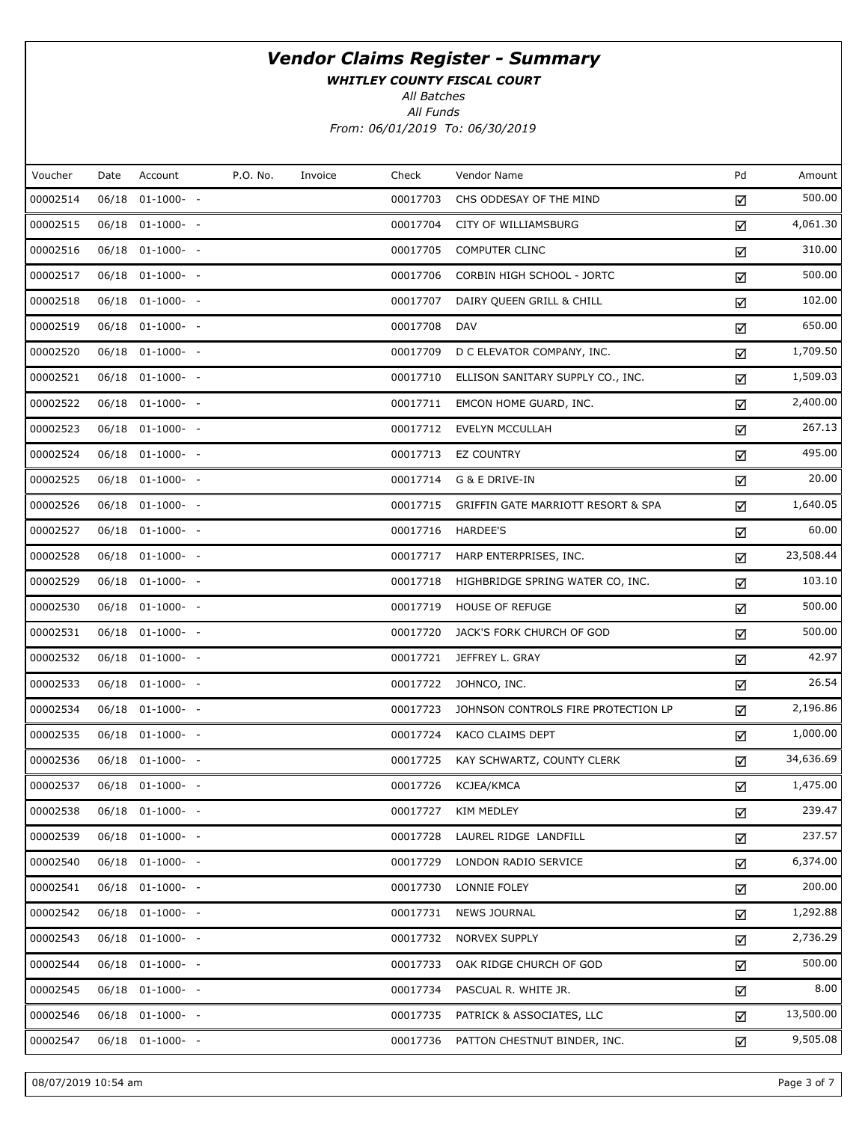WHITLEY COUNTY FISCAL COURT

All Batches

All Funds From: 06/01/2019 To: 06/30/2019

| Voucher  | Date | Account              | P.O. No. | Invoice | Check    | Vendor Name                         | Pd | Amount    |
|----------|------|----------------------|----------|---------|----------|-------------------------------------|----|-----------|
| 00002514 |      | 06/18 01-1000- -     |          |         | 00017703 | CHS ODDESAY OF THE MIND             | ☑  | 500.00    |
| 00002515 |      | 06/18 01-1000- -     |          |         | 00017704 | CITY OF WILLIAMSBURG                | ☑  | 4,061.30  |
| 00002516 |      | 06/18 01-1000- -     |          |         | 00017705 | <b>COMPUTER CLINC</b>               | ☑  | 310.00    |
| 00002517 |      | 06/18 01-1000- -     |          |         | 00017706 | CORBIN HIGH SCHOOL - JORTC          | ☑  | 500.00    |
| 00002518 |      | 06/18 01-1000- -     |          |         | 00017707 | DAIRY QUEEN GRILL & CHILL           | ☑  | 102.00    |
| 00002519 |      | 06/18 01-1000- -     |          |         | 00017708 | <b>DAV</b>                          | ☑  | 650.00    |
| 00002520 |      | 06/18 01-1000- -     |          |         | 00017709 | D C ELEVATOR COMPANY, INC.          | ☑  | 1,709.50  |
| 00002521 |      | 06/18 01-1000- -     |          |         | 00017710 | ELLISON SANITARY SUPPLY CO., INC.   | ☑  | 1,509.03  |
| 00002522 |      | 06/18 01-1000- -     |          |         | 00017711 | EMCON HOME GUARD, INC.              | ☑  | 2,400.00  |
| 00002523 |      | 06/18 01-1000- -     |          |         | 00017712 | <b>EVELYN MCCULLAH</b>              | ☑  | 267.13    |
| 00002524 |      | 06/18 01-1000- -     |          |         | 00017713 | <b>EZ COUNTRY</b>                   | ☑  | 495.00    |
| 00002525 |      | 06/18 01-1000- -     |          |         | 00017714 | G & E DRIVE-IN                      | ☑  | 20.00     |
| 00002526 |      | 06/18 01-1000- -     |          |         | 00017715 | GRIFFIN GATE MARRIOTT RESORT & SPA  | ☑  | 1,640.05  |
| 00002527 |      | 06/18 01-1000- -     |          |         | 00017716 | <b>HARDEE'S</b>                     | ☑  | 60.00     |
| 00002528 |      | 06/18 01-1000- -     |          |         | 00017717 | HARP ENTERPRISES, INC.              | ☑  | 23,508.44 |
| 00002529 |      | 06/18 01-1000- -     |          |         | 00017718 | HIGHBRIDGE SPRING WATER CO, INC.    | ☑  | 103.10    |
| 00002530 |      | 06/18 01-1000- -     |          |         | 00017719 | <b>HOUSE OF REFUGE</b>              | ☑  | 500.00    |
| 00002531 |      | 06/18 01-1000- -     |          |         | 00017720 | JACK'S FORK CHURCH OF GOD           | ☑  | 500.00    |
| 00002532 |      | 06/18 01-1000- -     |          |         | 00017721 | JEFFREY L. GRAY                     | ☑  | 42.97     |
| 00002533 |      | 06/18 01-1000- -     |          |         | 00017722 | JOHNCO, INC.                        | ☑  | 26.54     |
| 00002534 |      | 06/18 01-1000- -     |          |         | 00017723 | JOHNSON CONTROLS FIRE PROTECTION LP | ☑  | 2,196.86  |
| 00002535 |      | 06/18 01-1000- -     |          |         | 00017724 | KACO CLAIMS DEPT                    | ☑  | 1,000.00  |
| 00002536 |      | 06/18 01-1000- -     |          |         | 00017725 | KAY SCHWARTZ, COUNTY CLERK          | ☑  | 34,636.69 |
| 00002537 |      | 06/18 01-1000- -     |          |         | 00017726 | KCJEA/KMCA                          | ☑  | 1,475.00  |
| 00002538 |      | 06/18 01-1000- -     |          |         | 00017727 | KIM MEDLEY                          | ☑  | 239.47    |
| 00002539 |      | $06/18$ $01-1000-$ - |          |         | 00017728 | LAUREL RIDGE LANDFILL               | ☑  | 237.57    |
| 00002540 |      | $06/18$ $01-1000-$ - |          |         | 00017729 | LONDON RADIO SERVICE                | ☑  | 6,374.00  |
| 00002541 |      | $06/18$ $01-1000-$ - |          |         | 00017730 | LONNIE FOLEY                        | ☑  | 200.00    |
| 00002542 |      | $06/18$ $01-1000-$ - |          |         | 00017731 | <b>NEWS JOURNAL</b>                 | ☑  | 1,292.88  |
| 00002543 |      | $06/18$ $01-1000-$ - |          |         | 00017732 | NORVEX SUPPLY                       | ☑  | 2,736.29  |
| 00002544 |      | $06/18$ $01-1000-$ - |          |         | 00017733 | OAK RIDGE CHURCH OF GOD             | ☑  | 500.00    |
| 00002545 |      | $06/18$ $01-1000-$ - |          |         | 00017734 | PASCUAL R. WHITE JR.                | ☑  | 8.00      |
| 00002546 |      | $06/18$ $01-1000-$ - |          |         | 00017735 | PATRICK & ASSOCIATES, LLC           | ☑  | 13,500.00 |
| 00002547 |      | $06/18$ $01-1000-$ - |          |         | 00017736 | PATTON CHESTNUT BINDER, INC.        | ☑  | 9,505.08  |

08/07/2019 10:54 am Page 3 of 7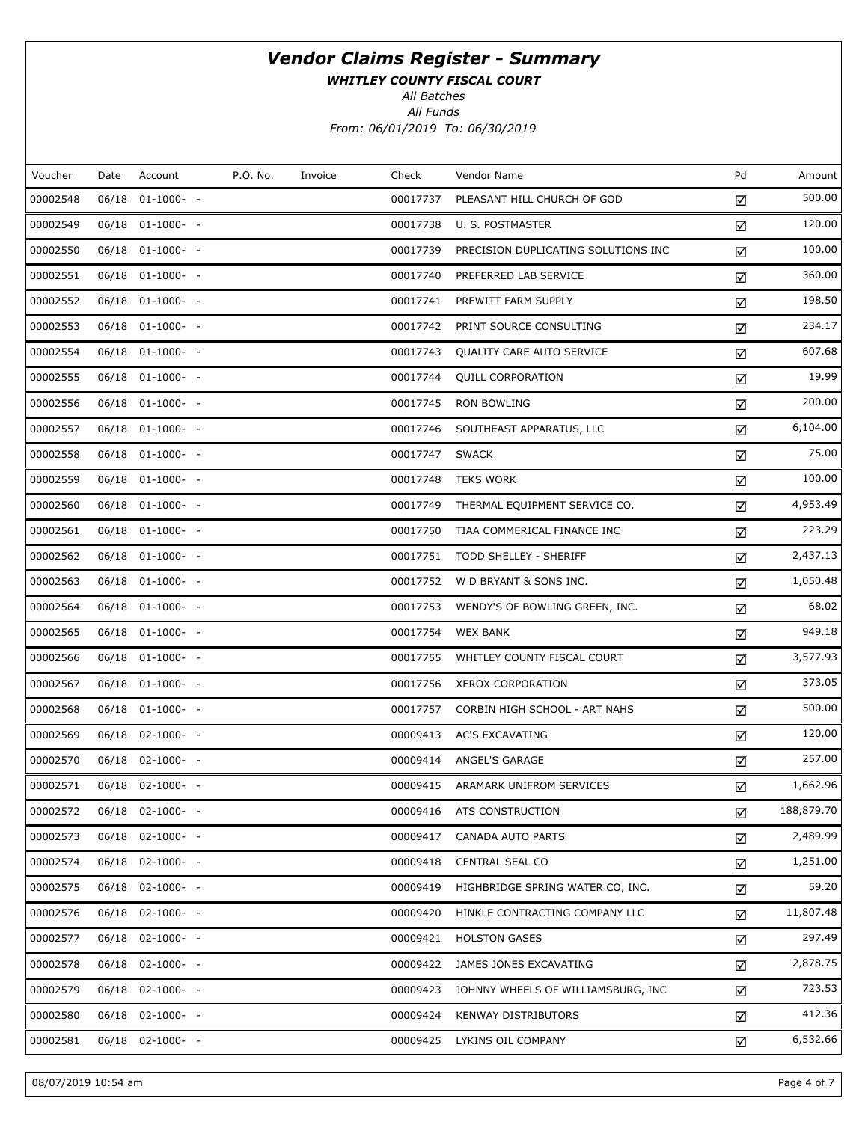WHITLEY COUNTY FISCAL COURT

All Batches

All Funds From: 06/01/2019 To: 06/30/2019

| Voucher  | Date  | Account               | P.O. No. | Invoice | Check    | Vendor Name                         | Pd | Amount     |
|----------|-------|-----------------------|----------|---------|----------|-------------------------------------|----|------------|
| 00002548 | 06/18 | $01-1000-$ -          |          |         | 00017737 | PLEASANT HILL CHURCH OF GOD         | ☑  | 500.00     |
| 00002549 |       | 06/18 01-1000- -      |          |         | 00017738 | U. S. POSTMASTER                    | ☑  | 120.00     |
| 00002550 |       | $06/18$ $01-1000-$ -  |          |         | 00017739 | PRECISION DUPLICATING SOLUTIONS INC | ☑  | 100.00     |
| 00002551 |       | 06/18 01-1000- -      |          |         | 00017740 | PREFERRED LAB SERVICE               | ☑  | 360.00     |
| 00002552 |       | 06/18 01-1000- -      |          |         | 00017741 | PREWITT FARM SUPPLY                 | ☑  | 198.50     |
| 00002553 |       | 06/18 01-1000- -      |          |         | 00017742 | PRINT SOURCE CONSULTING             | ☑  | 234.17     |
| 00002554 |       | $06/18$ $01-1000-$ -  |          |         | 00017743 | QUALITY CARE AUTO SERVICE           | ☑  | 607.68     |
| 00002555 |       | 06/18 01-1000- -      |          |         | 00017744 | <b>QUILL CORPORATION</b>            | ☑  | 19.99      |
| 00002556 |       | 06/18 01-1000- -      |          |         | 00017745 | RON BOWLING                         | ☑  | 200.00     |
| 00002557 |       | 06/18 01-1000- -      |          |         | 00017746 | SOUTHEAST APPARATUS, LLC            | ☑  | 6,104.00   |
| 00002558 |       | 06/18 01-1000- -      |          |         | 00017747 | <b>SWACK</b>                        | ☑  | 75.00      |
| 00002559 |       | 06/18 01-1000- -      |          |         | 00017748 | <b>TEKS WORK</b>                    | ☑  | 100.00     |
| 00002560 |       | 06/18 01-1000- -      |          |         | 00017749 | THERMAL EQUIPMENT SERVICE CO.       | ☑  | 4,953.49   |
| 00002561 |       | $06/18$ $01-1000-$ -  |          |         | 00017750 | TIAA COMMERICAL FINANCE INC         | ☑  | 223.29     |
| 00002562 |       | 06/18 01-1000- -      |          |         | 00017751 | TODD SHELLEY - SHERIFF              | ☑  | 2,437.13   |
| 00002563 |       | $06/18$ $01-1000$ - - |          |         | 00017752 | W D BRYANT & SONS INC.              | ☑  | 1,050.48   |
| 00002564 |       | 06/18 01-1000- -      |          |         | 00017753 | WENDY'S OF BOWLING GREEN, INC.      | ☑  | 68.02      |
| 00002565 |       | 06/18 01-1000- -      |          |         | 00017754 | <b>WEX BANK</b>                     | ☑  | 949.18     |
| 00002566 |       | 06/18 01-1000- -      |          |         | 00017755 | WHITLEY COUNTY FISCAL COURT         | ☑  | 3,577.93   |
| 00002567 |       | 06/18 01-1000- -      |          |         | 00017756 | <b>XEROX CORPORATION</b>            | ☑  | 373.05     |
| 00002568 |       | 06/18 01-1000- -      |          |         | 00017757 | CORBIN HIGH SCHOOL - ART NAHS       | ☑  | 500.00     |
| 00002569 |       | $06/18$ $02-1000-$ -  |          |         | 00009413 | <b>AC'S EXCAVATING</b>              | ☑  | 120.00     |
| 00002570 |       | $06/18$ $02-1000-$ -  |          |         | 00009414 | ANGEL'S GARAGE                      | ☑  | 257.00     |
| 00002571 |       | 06/18 02-1000- -      |          |         | 00009415 | ARAMARK UNIFROM SERVICES            | ☑  | 1,662.96   |
| 00002572 |       | 06/18 02-1000- -      |          |         | 00009416 | ATS CONSTRUCTION                    | ☑  | 188,879.70 |
| 00002573 | 06/18 | $02 - 1000 - -$       |          |         | 00009417 | CANADA AUTO PARTS                   | ☑  | 2,489.99   |
| 00002574 |       | 06/18 02-1000- -      |          |         | 00009418 | CENTRAL SEAL CO                     | ☑  | 1,251.00   |
| 00002575 | 06/18 | $02 - 1000 - -$       |          |         | 00009419 | HIGHBRIDGE SPRING WATER CO, INC.    | ☑  | 59.20      |
| 00002576 |       | 06/18 02-1000- -      |          |         | 00009420 | HINKLE CONTRACTING COMPANY LLC      | ☑  | 11,807.48  |
| 00002577 | 06/18 | $02 - 1000 - -$       |          |         | 00009421 | <b>HOLSTON GASES</b>                | ☑  | 297.49     |
| 00002578 |       | 06/18 02-1000- -      |          |         | 00009422 | JAMES JONES EXCAVATING              | ☑  | 2,878.75   |
| 00002579 |       | $06/18$ 02-1000- -    |          |         | 00009423 | JOHNNY WHEELS OF WILLIAMSBURG, INC  | ☑  | 723.53     |
| 00002580 |       | 06/18 02-1000- -      |          |         | 00009424 | <b>KENWAY DISTRIBUTORS</b>          | ☑  | 412.36     |
| 00002581 |       | 06/18 02-1000- -      |          |         | 00009425 | LYKINS OIL COMPANY                  | ☑  | 6,532.66   |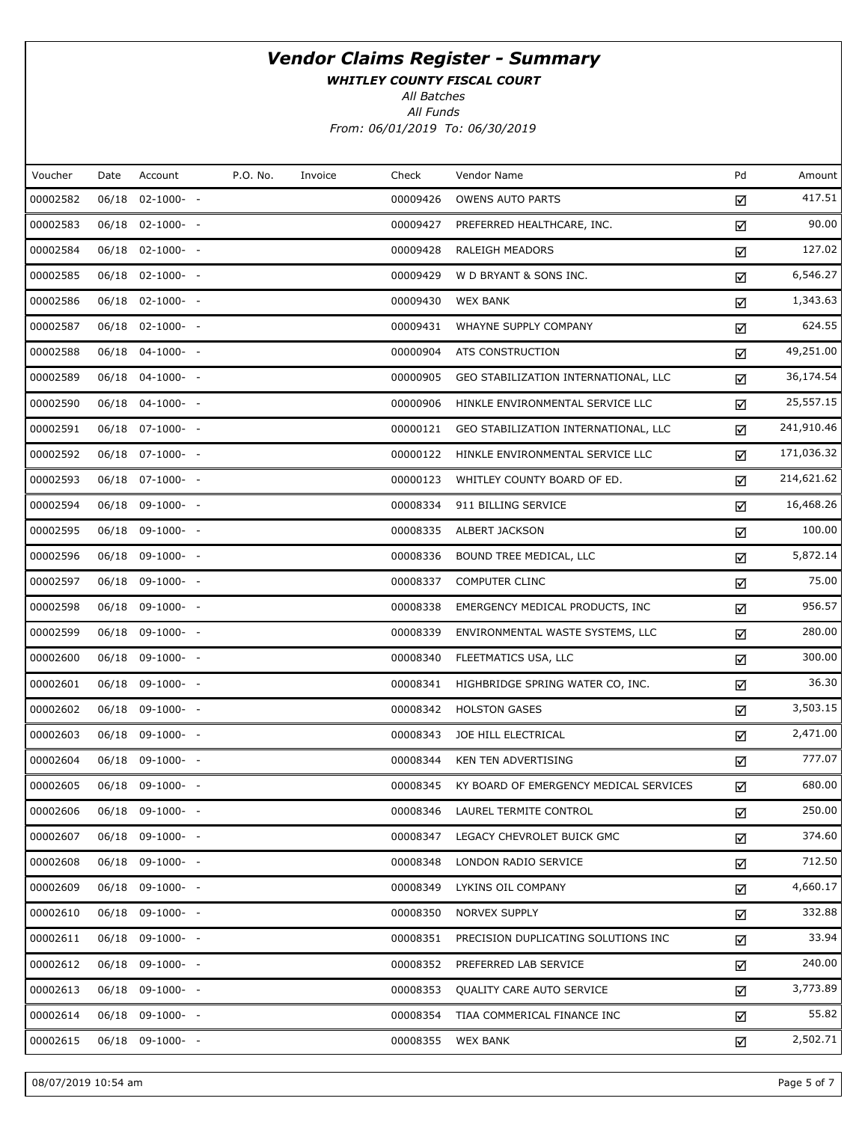WHITLEY COUNTY FISCAL COURT

All Batches

All Funds From: 06/01/2019 To: 06/30/2019

| Voucher  | Date | Account          | P.O. No. | Invoice | Check    | Vendor Name                            | Pd | Amount     |
|----------|------|------------------|----------|---------|----------|----------------------------------------|----|------------|
| 00002582 |      | 06/18 02-1000- - |          |         | 00009426 | <b>OWENS AUTO PARTS</b>                | ☑  | 417.51     |
| 00002583 |      | 06/18 02-1000- - |          |         | 00009427 | PREFERRED HEALTHCARE, INC.             | ☑  | 90.00      |
| 00002584 |      | 06/18 02-1000- - |          |         | 00009428 | RALEIGH MEADORS                        | ☑  | 127.02     |
| 00002585 |      | 06/18 02-1000- - |          |         | 00009429 | W D BRYANT & SONS INC.                 | ☑  | 6,546.27   |
| 00002586 |      | 06/18 02-1000- - |          |         | 00009430 | <b>WEX BANK</b>                        | ☑  | 1,343.63   |
| 00002587 |      | 06/18 02-1000- - |          |         | 00009431 | WHAYNE SUPPLY COMPANY                  | ☑  | 624.55     |
| 00002588 |      | 06/18 04-1000- - |          |         | 00000904 | ATS CONSTRUCTION                       | ☑  | 49,251.00  |
| 00002589 |      | 06/18 04-1000- - |          |         | 00000905 | GEO STABILIZATION INTERNATIONAL, LLC   | ☑  | 36,174.54  |
| 00002590 |      | 06/18 04-1000- - |          |         | 00000906 | HINKLE ENVIRONMENTAL SERVICE LLC       | ☑  | 25,557.15  |
| 00002591 |      | 06/18 07-1000- - |          |         | 00000121 | GEO STABILIZATION INTERNATIONAL, LLC   | ☑  | 241,910.46 |
| 00002592 |      | 06/18 07-1000- - |          |         | 00000122 | HINKLE ENVIRONMENTAL SERVICE LLC       | ☑  | 171,036.32 |
| 00002593 |      | 06/18 07-1000- - |          |         | 00000123 | WHITLEY COUNTY BOARD OF ED.            | ☑  | 214,621.62 |
| 00002594 |      | 06/18 09-1000- - |          |         | 00008334 | 911 BILLING SERVICE                    | ☑  | 16,468.26  |
| 00002595 |      | 06/18 09-1000- - |          |         | 00008335 | <b>ALBERT JACKSON</b>                  | ☑  | 100.00     |
| 00002596 |      | 06/18 09-1000- - |          |         | 00008336 | BOUND TREE MEDICAL, LLC                | ☑  | 5,872.14   |
| 00002597 |      | 06/18 09-1000- - |          |         | 00008337 | <b>COMPUTER CLINC</b>                  | ☑  | 75.00      |
| 00002598 |      | 06/18 09-1000- - |          |         | 00008338 | EMERGENCY MEDICAL PRODUCTS, INC        | ☑  | 956.57     |
| 00002599 |      | 06/18 09-1000- - |          |         | 00008339 | ENVIRONMENTAL WASTE SYSTEMS, LLC       | ☑  | 280.00     |
| 00002600 |      | 06/18 09-1000- - |          |         | 00008340 | FLEETMATICS USA, LLC                   | ☑  | 300.00     |
| 00002601 |      | 06/18 09-1000- - |          |         | 00008341 | HIGHBRIDGE SPRING WATER CO, INC.       | ☑  | 36.30      |
| 00002602 |      | 06/18 09-1000- - |          |         | 00008342 | <b>HOLSTON GASES</b>                   | ☑  | 3,503.15   |
| 00002603 |      | 06/18 09-1000- - |          |         | 00008343 | JOE HILL ELECTRICAL                    | ☑  | 2,471.00   |
| 00002604 |      | 06/18 09-1000- - |          |         | 00008344 | <b>KEN TEN ADVERTISING</b>             | ☑  | 777.07     |
| 00002605 |      | 06/18 09-1000- - |          |         | 00008345 | KY BOARD OF EMERGENCY MEDICAL SERVICES | ☑  | 680.00     |
| 00002606 |      | 06/18 09-1000- - |          |         | 00008346 | LAUREL TERMITE CONTROL                 | ☑  | 250.00     |
| 00002607 |      | 06/18 09-1000- - |          |         | 00008347 | LEGACY CHEVROLET BUICK GMC             | ☑  | 374.60     |
| 00002608 |      | 06/18 09-1000- - |          |         | 00008348 | LONDON RADIO SERVICE                   | ☑  | 712.50     |
| 00002609 |      | 06/18 09-1000- - |          |         | 00008349 | LYKINS OIL COMPANY                     | ☑  | 4,660.17   |
| 00002610 |      | 06/18 09-1000- - |          |         | 00008350 | NORVEX SUPPLY                          | ☑  | 332.88     |
| 00002611 |      | 06/18 09-1000- - |          |         | 00008351 | PRECISION DUPLICATING SOLUTIONS INC    | ☑  | 33.94      |
| 00002612 |      | 06/18 09-1000- - |          |         | 00008352 | PREFERRED LAB SERVICE                  | ☑  | 240.00     |
| 00002613 |      | 06/18 09-1000- - |          |         | 00008353 | QUALITY CARE AUTO SERVICE              | ☑  | 3,773.89   |
| 00002614 |      | 06/18 09-1000- - |          |         | 00008354 | TIAA COMMERICAL FINANCE INC            | ☑  | 55.82      |
| 00002615 |      | 06/18 09-1000- - |          |         | 00008355 | <b>WEX BANK</b>                        | ☑  | 2,502.71   |
|          |      |                  |          |         |          |                                        |    |            |

08/07/2019 10:54 am Page 5 of 7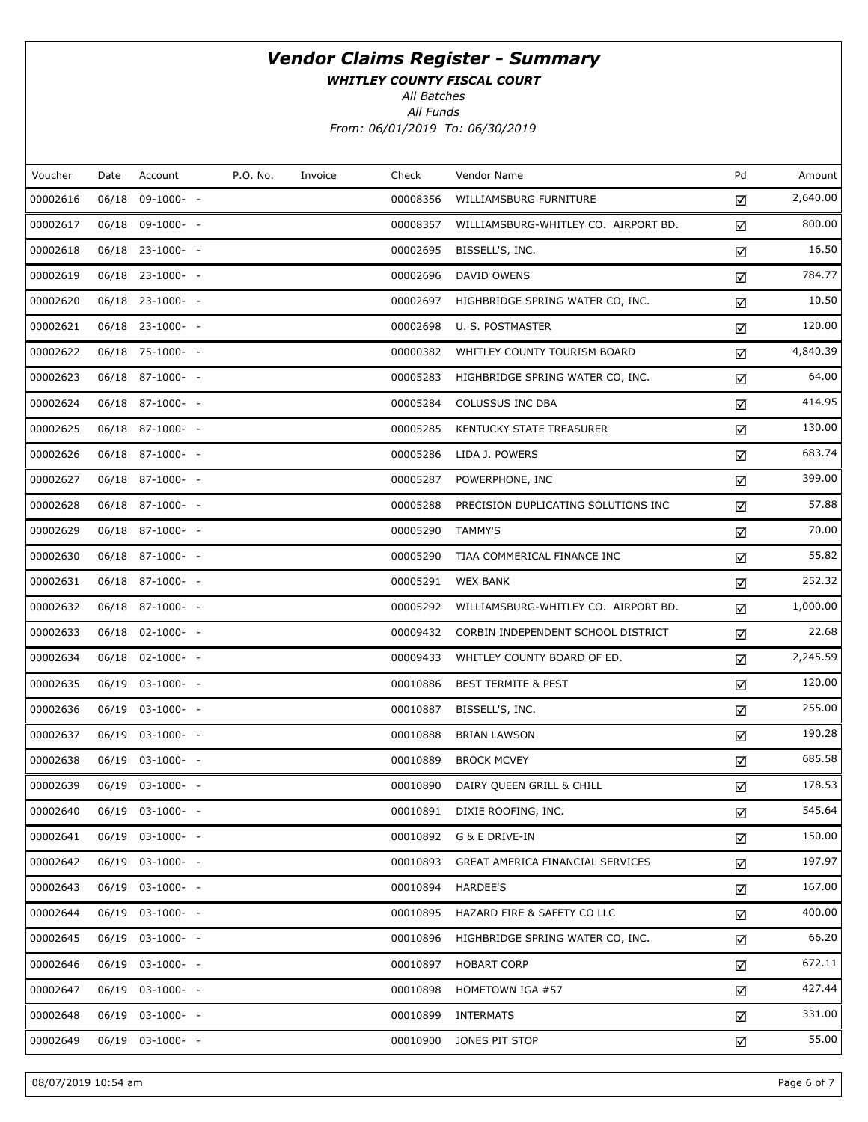WHITLEY COUNTY FISCAL COURT

All Batches

All Funds From: 06/01/2019 To: 06/30/2019

| Voucher  | Date | Account               | P.O. No. | Invoice | Check    | Vendor Name                          | Pd | Amount   |
|----------|------|-----------------------|----------|---------|----------|--------------------------------------|----|----------|
| 00002616 |      | 06/18 09-1000- -      |          |         | 00008356 | WILLIAMSBURG FURNITURE               | ☑  | 2,640.00 |
| 00002617 |      | 06/18 09-1000- -      |          |         | 00008357 | WILLIAMSBURG-WHITLEY CO. AIRPORT BD. | ☑  | 800.00   |
| 00002618 |      | 06/18 23-1000- -      |          |         | 00002695 | BISSELL'S, INC.                      | ☑  | 16.50    |
| 00002619 |      | 06/18 23-1000- -      |          |         | 00002696 | DAVID OWENS                          | ☑  | 784.77   |
| 00002620 |      | 06/18 23-1000- -      |          |         | 00002697 | HIGHBRIDGE SPRING WATER CO, INC.     | ☑  | 10.50    |
| 00002621 |      | 06/18 23-1000- -      |          |         | 00002698 | U. S. POSTMASTER                     | ☑  | 120.00   |
| 00002622 |      | 06/18 75-1000- -      |          |         | 00000382 | WHITLEY COUNTY TOURISM BOARD         | ☑  | 4,840.39 |
| 00002623 |      | 06/18 87-1000- -      |          |         | 00005283 | HIGHBRIDGE SPRING WATER CO, INC.     | ☑  | 64.00    |
| 00002624 |      | 06/18 87-1000- -      |          |         | 00005284 | COLUSSUS INC DBA                     | ☑  | 414.95   |
| 00002625 |      | 06/18 87-1000- -      |          |         | 00005285 | KENTUCKY STATE TREASURER             | ☑  | 130.00   |
| 00002626 |      | 06/18 87-1000- -      |          |         | 00005286 | LIDA J. POWERS                       | ☑  | 683.74   |
| 00002627 |      | 06/18 87-1000- -      |          |         | 00005287 | POWERPHONE, INC                      | ☑  | 399.00   |
| 00002628 |      | 06/18 87-1000- -      |          |         | 00005288 | PRECISION DUPLICATING SOLUTIONS INC  | ☑  | 57.88    |
| 00002629 |      | 06/18 87-1000- -      |          |         | 00005290 | <b>TAMMY'S</b>                       | ☑  | 70.00    |
| 00002630 |      | 06/18 87-1000- -      |          |         | 00005290 | TIAA COMMERICAL FINANCE INC          | ☑  | 55.82    |
| 00002631 |      | 06/18 87-1000- -      |          |         | 00005291 | <b>WEX BANK</b>                      | ☑  | 252.32   |
| 00002632 |      | 06/18 87-1000- -      |          |         | 00005292 | WILLIAMSBURG-WHITLEY CO. AIRPORT BD. | ☑  | 1,000.00 |
| 00002633 |      | 06/18 02-1000- -      |          |         | 00009432 | CORBIN INDEPENDENT SCHOOL DISTRICT   | ☑  | 22.68    |
| 00002634 |      | 06/18 02-1000- -      |          |         | 00009433 | WHITLEY COUNTY BOARD OF ED.          | ☑  | 2,245.59 |
| 00002635 |      | 06/19 03-1000- -      |          |         | 00010886 | <b>BEST TERMITE &amp; PEST</b>       | ☑  | 120.00   |
| 00002636 |      | 06/19 03-1000- -      |          |         | 00010887 | BISSELL'S, INC.                      | ☑  | 255.00   |
| 00002637 |      | 06/19 03-1000- -      |          |         | 00010888 | <b>BRIAN LAWSON</b>                  | ☑  | 190.28   |
| 00002638 |      | 06/19 03-1000- -      |          |         | 00010889 | <b>BROCK MCVEY</b>                   | ☑  | 685.58   |
| 00002639 |      | 06/19 03-1000- -      |          |         | 00010890 | DAIRY QUEEN GRILL & CHILL            | ☑  | 178.53   |
| 00002640 |      | 06/19 03-1000- -      |          |         | 00010891 | DIXIE ROOFING, INC.                  | ☑  | 545.64   |
| 00002641 |      | 06/19 03-1000- -      |          |         | 00010892 | G & E DRIVE-IN                       | ☑  | 150.00   |
| 00002642 |      | 06/19 03-1000- -      |          |         | 00010893 | GREAT AMERICA FINANCIAL SERVICES     | ☑  | 197.97   |
| 00002643 |      | 06/19 03-1000- -      |          |         | 00010894 | HARDEE'S                             | ☑  | 167.00   |
| 00002644 |      | 06/19 03-1000- -      |          |         | 00010895 | HAZARD FIRE & SAFETY CO LLC          | ☑  | 400.00   |
| 00002645 |      | $06/19$ $03-1000$ - - |          |         | 00010896 | HIGHBRIDGE SPRING WATER CO, INC.     | ☑  | 66.20    |
| 00002646 |      | 06/19 03-1000- -      |          |         | 00010897 | <b>HOBART CORP</b>                   | ☑  | 672.11   |
| 00002647 |      | 06/19 03-1000- -      |          |         | 00010898 | HOMETOWN IGA #57                     | ☑  | 427.44   |
| 00002648 |      | 06/19 03-1000- -      |          |         | 00010899 | <b>INTERMATS</b>                     | ☑  | 331.00   |
| 00002649 |      | 06/19 03-1000- -      |          |         | 00010900 | JONES PIT STOP                       | ☑  | 55.00    |
|          |      |                       |          |         |          |                                      |    |          |

08/07/2019 10:54 am Page 6 of 7